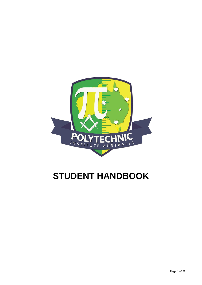

## **STUDENT HANDBOOK**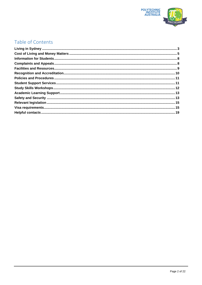

## Table of Contents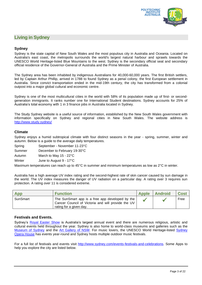

## <span id="page-2-0"></span>**Living in Sydney**

## **Sydney**

Sydney is the state capital of New South Wales and the most populous city in Australia and Oceania. Located on Australia's east coast, the metropolis surrounds the world's largest natural harbour and sprawls towards the UNESCO World Heritage-listed Blue Mountains to the west. Sydney is the secondary official seat and secondary official residence of the Governor-General of Australia and the Prime Minister of Australia.

The Sydney area has been inhabited by indigenous Australians for 40,000-60,000 years. The first British settlers, led by Captain Arthur Phillip, arrived in 1788 to found Sydney as a penal colony, the first European settlement in Australia. Since convict transportation ended in the mid-19th century, the city has transformed from a colonial outpost into a major global cultural and economic centre.

Sydney is one of the most multicultural cities in the world with 58% of its population made up of first- or secondgeneration immigrants. It ranks number one for International Student destinations. Sydney accounts for 25% of Australia's total economy with 1 in 3 finance jobs in Australia located in Sydney.

The Study Sydney website is a useful source of information, established by the New South Wales government with information specifically on Sydney and regional cities in New South Wales. The website address is <http://www.study.sydney/>

## **Climate**

Sydney enjoys a humid subtropical climate with four distinct seasons in the year - spring, summer, winter and autumn. Below is a guide to the average daily temperatures.

- Spring September November 11-23°C
- Summer December to February 19-30°C
- Autumn March to May 15 22°C
- Winter **June to August 9 17°C**

Maximum temperatures can reach up to 45°C in summer and minimum temperatures as low as 2°C in winter.

Australia has a high average UV index rating and the second-highest rate of skin cancer caused by sun damage in the world. The UV index measures the danger of UV radiation on a particular day. A rating over 3 requires sun protection. A rating over 11 is considered extreme.

| App      | <b>Function</b>                                                                                                                  | <b>Apple</b> | <b>Android</b> | <b>Cost</b> |
|----------|----------------------------------------------------------------------------------------------------------------------------------|--------------|----------------|-------------|
| SunSmart | The SunSmart app is a free app developed by the<br>Cancer Council of Victoria and will provide the UV<br>rating for a given day. |              |                | Free        |

## **Festivals and Events.**

Sydney's [Royal Easter Show](https://www.eastershow.com.au/) is Australia's largest annual event and there are numerous religious, artistic and cultural events held throughout the year. Sydney is also home to world-class museums and galleries such as the [Museum of Sydney](https://sydneylivingmuseums.com.au/museum-of-sydney) and the [Art Gallery of NSW.](https://www.artgallery.nsw.gov.au/) For music lovers, the UNESCO World Heritage-listed [Sydney](https://www.sydneyoperahouse.com/)  [Opera House](https://www.sydneyoperahouse.com/) has events year-round and Sydney hosts multiple outdoor music festivals.

For a full list of festivals and events visit [http://www.sydney.com/events-festivals-and-celebrations.](http://www.sydney.com/events-festivals-and-celebrations) Some Apps to help you explore the city are listed below.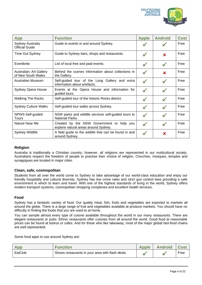

| <b>App</b>                                    | <b>Function</b>                                                                   | <b>Apple</b> | <b>Android</b> | <b>Cost</b> |
|-----------------------------------------------|-----------------------------------------------------------------------------------|--------------|----------------|-------------|
| Sydney Australia<br><b>Official Guide</b>     | Guide to events in and around Sydney.                                             |              |                | Free        |
| Time Out Sydney                               | Guide to Sydney bars, shops and restaurants.                                      |              | $\mathbf x$    | Free        |
| Eventbrite                                    | List of local free and paid events.                                               |              | $\checkmark$   | Free        |
| Australian: Art Gallery<br>of New South Wales | Behind the scenes information about collections in<br>the Gallery.                |              | ×              | Free        |
| Australian Museum                             | Self-guided tour of the Long Gallery and extra<br>information about artefacts.    |              |                | Free        |
| Sydney Opera House                            | Events at the Opera House and information for<br>guided tours.                    |              |                | Free        |
| <b>Walking The Rocks</b>                      | Self-guided tour of the historic Rocks district.                                  |              |                | Free        |
| <b>Sydney Culture Walks</b>                   | Self-guided tour walks across Sydney.                                             |              |                | Free        |
| NPWS Self-guided<br>Tours                     | NSW parks and wildlife services self-guided tours to<br>National Parks.           |              |                | Free        |
| Nature Near Me                                | Created by the NSW Government to help you<br>explore natural areas around Sydney. |              |                | Free        |
| Sydney Wildlife                               | A field guide to the wildlife that can be found in and<br>around Sydney.          |              | ×              | Free        |

## **Religion**

Australia is traditionally a Christian country; however, all religions are represented in our multicultural society. Australians respect the freedom of people to practise their choice of religion. Churches, mosques, temples and synagogues are located in major cities.

## **Clean, safe, cosmopolitan**

Students from all over the world come to Sydney to take advantage of our world-class education and enjoy our friendly hospitality and cultural diversity. Sydney has low crime rates and strict gun control laws providing a safe environment in which to learn and travel. With one of the highest standards of living in the world, Sydney offers modern transport systems, cosmopolitan shopping complexes and excellent health services.

## **Food**

Sydney has a fantastic variety of food. Our quality meat, fish, fruits and vegetables are exported to markets all around the globe. There is a large range of fruit and vegetables available at produce markets. You should have no difficulty in finding the foods that you are used to at home.

You can sample almost every type of cuisine available throughout the world in our many restaurants. There are elegant restaurants or pubs. Ethnic restaurants offer cuisines from all around the world. Good food at reasonable prices can be found at bistros or cafes. And for those who like takeaway, most of the major global fast-food chains are well represented.

Some food apps to use around Sydney are:

| App     | <b>Function</b>                                  | Apple | <b>Android</b> | Cost |
|---------|--------------------------------------------------|-------|----------------|------|
| EatClub | Shows restaurants in your area with flash deals. |       |                | Free |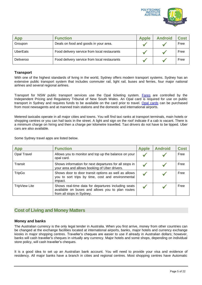

| App             | <b>Function</b>                              | <b>Apple</b> | <b>Android</b> | <b>Cost</b> |
|-----------------|----------------------------------------------|--------------|----------------|-------------|
| Groupon         | Deals on food and goods in your area.        |              |                | Free        |
| <b>UberEats</b> | Food delivery service from local restaurants |              |                | Free        |
| Deliveroo       | Food delivery service from local restaurants |              |                | Free        |

## **Transport**

With one of the highest standards of living in the world, Sydney offers modern transport systems. Sydney has an extensive public transport system that includes commuter rail, light rail, buses and ferries, four major national airlines and several regional airlines.

Transport for NSW public transport services use the Opal ticketing system. [Fares](https://transportnsw.info/tickets-opal/opal/fares-payments/adult-fares) are controlled by the Independent Pricing and Regulatory Tribunal of New South Wales. An Opal card is required for use on public transport in Sydney and requires funds to be available on the card prior to travel. [Opal cards](https://transportnsw.info/tickets-opal/opal#/login) can be purchased from most newsagents and at manned train stations and the domestic and international airports.

Metered taxicabs operate in all major cities and towns. You will find taxi ranks at transport terminals, main hotels or shopping centres or you can hail taxis in the street. A light and sign on the roof indicate if a cab is vacant. There is a minimum charge on hiring and then a charge per kilometre travelled. Taxi drivers do not have to be tipped. Uber cars are also available.

Some Sydney travel apps are listed below.

| <b>App</b>         | <b>Function</b>                                                                                                                      | <b>Apple</b> | <b>Android</b> | <b>Cost</b> |
|--------------------|--------------------------------------------------------------------------------------------------------------------------------------|--------------|----------------|-------------|
| <b>Opal Travel</b> | Allows you to monitor and top up the balance on your<br>opal card.                                                                   |              |                | Free        |
| Transit            | Shows information for next departures for all stops in<br>your area and allows booking of Uber drivers.                              |              |                | Free        |
| <b>TripGo</b>      | Shows door to door transit options as well as allows<br>you to sort trips by time, cost and environmental<br>impact.                 |              |                | Free        |
| TripView Lite      | Shows real-time data for departures including seats<br>available on buses and allows you to plan routes<br>from all stops in Sydney. |              |                | Free        |

## <span id="page-4-0"></span>**Cost of Living and Money Matters**

## **Money and banks**

The Australian currency is the only legal tender in Australia. When you first arrive, money from other countries can be changed at the exchange facilities located at international airports, banks, major hotels and currency exchange kiosks in major shopping centres. Traveller's cheques are easier to use if already in Australian dollars; however, banks will cash traveller's cheques in virtually any currency. Major hotels and some shops, depending on individual store policy, will cash traveller's cheques.

It is a good idea to set up an Australian bank account. You will need to provide your visa and evidence of residency. All major banks have a branch in cities and regional centres. Most shopping centres have Automatic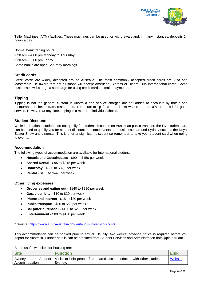

Teller Machines (ATM) facilities. These machines can be used for withdrawals and, in many instances, deposits 24 hours a day.

Normal bank trading hours: 9.30 am – 4.00 pm Monday to Thursday 9.30 am – 5.00 pm Friday Some banks are open Saturday mornings.

## **Credit cards**

Credit cards are widely accepted around Australia. The most commonly accepted credit cards are Visa and Mastercard. Be aware that not all shops will accept American Express or Diners Club International cards. Some businesses will charge a surcharge for using credit cards to make payments.

## **Tipping**

Tipping is not the general custom in Australia and service charges are not added to accounts by hotels and restaurants. In better-class restaurants, it is usual to tip food and drinks waiters up to 10% of the bill for good service. However, at any time, tipping is a matter of individual choice.

## **Student Discounts**

While international students do not qualify for student discounts on Australian public transport the PIA student card can be used to qualify you for student discounts at some events and businesses around Sydney such as the Royal Easter Show and cinemas. This is often a significant discount so remember to take your student card when going to events.

## **Accommodation**

The following types of accommodation are available for International students:

- **Hostels and Guesthouses** \$90 to \$150 per week
- **Shared Rental** \$95 to \$215 per week
- **Homestay** \$235 to \$325 per week
- **Rental** \$185 to \$440 per week

## **Other living expenses**

- **Groceries and eating out -** \$140 to \$280 per week
- **Gas, electricity -** \$10 to \$20 per week
- **Phone and Internet -** \$15 to \$30 per week
- **Public transport -** \$30 to \$60 per week
- **Car (after purchase) -** \$150 to \$260 per week
- **Entertainment -** \$80 to \$150 per week

\* Source: <https://www.studyaustralia.gov.au/english/live/living-costs>

This accommodation can be booked prior to arrival. Usually, two weeks' advance notice is required before you depart for Australia. Further details can be obtained from Student Services and Administration (info@pia.edu.au).

Some useful websites for housing are:

| <b>Site</b>   | <b>Function</b>                                                                            | <b>ink</b> |
|---------------|--------------------------------------------------------------------------------------------|------------|
| Sydney        | Student   A site to help people find shared accommodation with other students in   Website |            |
| Accommodation | Svdnev.                                                                                    |            |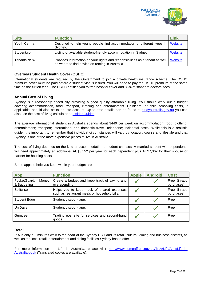

| <b>Site</b>          | <b>Function</b>                                                                                                                  | Link           |
|----------------------|----------------------------------------------------------------------------------------------------------------------------------|----------------|
| <b>Youth Central</b> | Designed to help young people find accommodation of different types in<br>Sydney.                                                | <b>Website</b> |
| Student.com          | Listing of available student-friendly accommodation in Sydney.                                                                   | Website        |
| <b>Tenants NSW</b>   | Provides information on your rights and responsibilities as a tenant as well<br>as where to find advice on renting in Australia. | Website        |

## **Overseas Student Health Cover (OSHC)**

International students are required by the Government to join a private health insurance scheme. The OSHC premium cover must be paid before a student visa is issued. You will need to pay the OSHC premium at the same time as the tuition fees. The OSHC entitles you to free hospital cover and 85% of standard doctors' fees.

## **Annual Cost of Living**

Sydney is a reasonably priced city providing a good quality affordable living. You should work out a budget covering accommodation, food, transport, clothing and entertainment. Childcare, or child schooling costs, if applicable, should also be taken into account. Up to date details can be found at [studyaustralia.gov.au](https://www.studyaustralia.gov.au/english/live/living-costs) you can also use the cost of living calculator at [Insider Guides.](https://insiderguides.com.au/cost-of-living-calculator/)

The average international student in Australia spends about \$440 per week on accommodation; food; clothing; entertainment; transport; international and domestic travel; telephone; incidental costs. While this is a realistic guide, it is important to remember that individual circumstances will vary by location, course and lifestyle and that Sydney is one of the more expensive places to live in Australia.

The cost of living depends on the kind of accommodation a student chooses. A married student with dependents will need approximately an additional AU\$3,152 per year for each dependent plus AU\$7,362 for their spouse or partner for housing costs.

| <b>App</b>                           | <b>Function</b>                                                                            | <b>Apple</b> | <b>Android</b> | <b>Cost</b>                |
|--------------------------------------|--------------------------------------------------------------------------------------------|--------------|----------------|----------------------------|
| PocketGuard:<br>Money<br>& Budgeting | Create a budget and keep track of saving and<br>overspending.                              |              |                | Free (in-app<br>purchases) |
| Splitwise                            | Helps you to keep track of shared expenses<br>such as restaurant meals or household bills. |              |                | Free (in-app<br>purchases) |
| <b>Student Edge</b>                  | Student discount app.                                                                      |              |                | Free                       |
| <b>UniDays</b>                       | Student discount app.                                                                      |              |                | Free                       |
| Gumtree                              | Trading post site for services and second-hand<br>goods.                                   |              |                | Free                       |

Some apps to help you keep within your budget are:

## **Retail**

PIA is only a 5 minutes walk to the heart of the Sydney CBD and its retail, cultural, dining and business districts, as well as the local retail, entertainment and dining facilities Sydney has to offer.

For more information on Life in Australia, please visit [http://www.homeaffairs.gov.au/Trav/Life/Aust/Life-in-](http://www.homeaffairs.gov.au/Trav/Life/Aust/Life-in-Australia-book)[Australia-book](http://www.homeaffairs.gov.au/Trav/Life/Aust/Life-in-Australia-book) (Translated copies are available).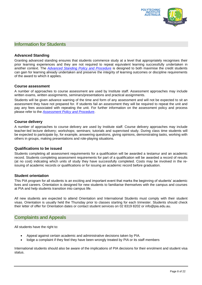

## <span id="page-7-0"></span>**Information for Students**

## **Advanced Standing**

Granting advanced standing ensures that students commence study at a level that appropriately recognises their prior learning experiences and they are not required to repeat equivalent learning successfully undertaken in another context. The *[Advanced Standing Policy and Procedure](https://docs.pia.edu.au/Documents/Policies%20and%20Procedures/Advanced%20Standing%20Policy%20and%20Procedure_v2.4.pdf)* is designed to both maximise the credit students can gain for learning already undertaken and preserve the integrity of learning outcomes or discipline requirements of the award to which it applies.

#### **Course assessment**

A number of approaches to course assessment are used by Institute staff. Assessment approaches may include written exams, written assignments, seminars/presentations and practical assignments.

Students will be given advance warning of the time and form of any assessment and will not be expected to sit an assessment they have not prepared for. If students fail an assessment they will be required to repeat the unit and pay any fees associated with repeating the unit. For further information on the assessment policy and process please refer to the *[Assessment Policy and Procedure](https://docs.pia.edu.au/Documents/Policies%20and%20Procedures/Assessment%20Policy%20and%20Procedure%20v3.5.pdf)*.

## **Course delivery**

A number of approaches to course delivery are used by Institute staff. Course delivery approaches may include teacher-led lecture delivery; workshops; seminars; tutorials and supervised study. During class time students will be expected to participate by, for example, answering questions, giving opinions, demonstrating tasks, working with others in groups, making presentations and role-playing situations.

## **Qualifications to be issued**

Students completing all assessment requirements for a qualification will be awarded a testamur and an academic record. Students completing assessment requirements for part of a qualification will be awarded a record of results (at no cost) indicating which units of study they have successfully completed. Costs may be involved in the reissuing of academic records or qualifications or for issuing an academic record before graduation.

## **Student orientation**

This PIA program for all students is an exciting and important event that marks the beginning of students' academic lives and careers. Orientation is designed for new students to familiarise themselves with the campus and courses at PIA and help students transition into campus life.

All new students are expected to attend Orientation and International Students must comply with their student visas. Orientation is usually held the Thursday prior to classes starting for each trimester. Students should check their letter of offer for Orientation dates or contact student services on 02 8319 8202 or info@pia.edu.au.

## <span id="page-7-1"></span>**Complaints and Appeals**

All students have the right to:

- Appeal against certain academic and administrative decisions taken by PIA.
- lodge a complaint if they feel they have been wrongly treated by PIA or its staff members

International students should also be aware of the implications of PIA decisions for their enrolment and student visa status.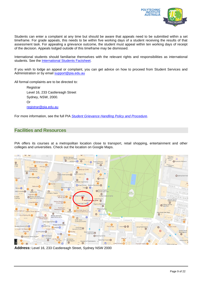

Students can enter a complaint at any time but should be aware that appeals need to be submitted within a set timeframe. For grade appeals, this needs to be within five working days of a student receiving the results of that assessment task. For appealing a grievance outcome, the student must appeal within ten working days of receipt of the decision. Appeals lodged outside of this timeframe may be dismissed.

International students should familiarise themselves with the relevant rights and responsibilities as international students. See the [International Students Factsheet.](https://www.dese.gov.au/esos-framework/resources/international-students-factsheet)

If you wish to lodge an appeal or complaint, you can get advice on how to proceed from Student Services and Administration or by email [support@pia.edu.au](mailto:support@pia.edu.au)

All formal complaints are to be directed to:

**Registrar** Level 16, 233 Castlereagh Street Sydney, NSW, 2000. Or [registrar@pia.edu.au](mailto:registrar@pia.edu.au)

For more information, see the full PIA *Student Grievance Handling [Policy and Procedure](https://docs.pia.edu.au/Documents/Policies%20and%20Procedures/Student%20Grievance%20Handling%20Policy%20and%20Procedure%20v3.4.pdf)*.

## <span id="page-8-0"></span>**Facilities and Resources**

PIA offers its courses at a metropolitan location close to transport, retail shopping, entertainment and other colleges and universities. Check out the location on Google Maps.



**Address:** Level 16, 233 Castlereagh Street, Sydney NSW 2000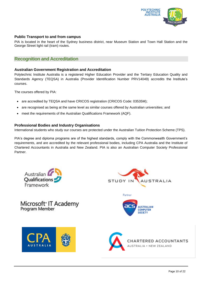

## **Public Transport to and from campus**

PIA is located in the heart of the Sydney business district, near Museum Station and Town Hall Station and the George Street light rail (tram) routes.

## <span id="page-9-0"></span>**Recognition and Accreditation**

## **Australian Government Registration and Accreditation**

Polytechnic Institute Australia is a registered Higher Education Provider and the Tertiary Education Quality and Standards Agency (TEQSA) in Australia (Provider Identification Number PRV14049) accredits the Institute's courses.

The courses offered by PIA:

- are accredited by TEQSA and have CRICOS registration (CRICOS Code: 03535M);
- are recognised as being at the same level as similar courses offered by Australian universities; and
- meet the requirements of the Australian Qualifications Framework (AQF).

## **Professional Bodies and Industry Organisations**

International students who study our courses are protected under the Australian Tuition Protection Scheme (TPS).

PIA's degree and diploma programs are of the highest standards, comply with the Commonwealth Government's requirements, and are accredited by the relevant professional bodies, including CPA Australia and the Institute of Chartered Accountants in Australia and New Zealand. PIA is also an Australian Computer Society Professional Partner.



# Microsoft<sup>®</sup> IT Academy<br>Program Member







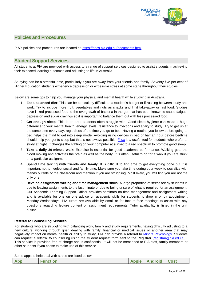

## <span id="page-10-0"></span>**Policies and Procedures**

PIA's policies and procedures are located at: <https://docs.pia.edu.au/documents.html>

## <span id="page-10-1"></span>**Student Support Services**

All students at PIA are provided with access to a range of support services designed to assist students in achieving their expected learning outcomes and adjusting to life in Australia.

Studying can be a stressful time, particularly if you are away from your friends and family. Seventy-five per cent of Higher Education students experience depression or excessive stress at some stage throughout their studies.

Below are some tips to help you manage your physical and mental health while studying in Australia.

- 1. **Eat a balanced diet**: This can be particularly difficult on a student's budget or if rushing between study and work. Try to include more fruit, vegetables and nuts as snacks and limit take-away or fast food. Studies have linked processed food to the overgrowth of bacteria in the gut that has been known to cause fatigue, depression and sugar cravings so it is important to balance them out with less processed food.
- 2. **Get enough sleep**: This is an area students often struggle with. Good sleep hygiene can make a huge difference to your mental health, energy levels, resistance to infections and ability to study. Try to get up at the same time every day, regardless of the time you go to bed. Having a routine you follow before going to bed helps the mind to get into sleep mode. Avoiding using devices in bed or half an hour before bedtime should help you get to sleep but that is not always possible. F. lux is a useful tool for students who prefer to study at night. It changes the lighting on your computer at sunset to a red spectrum to promote good sleep.
- 3. **Take a daily 30-minute walk**: Exercise is essential for good academic performance. Walking gets the blood moving and activates the brain as well as the body. It is often useful to go for a walk if you are stuck on a particular assignment.
- 4. **Spend time talking with friends and family**: It is difficult to find time to get everything done but it is important not to neglect social and family time. Make sure you take time during your week to socialize with friends outside of the classroom and mention if you are struggling. Most likely, you will find you are not the only one.
- 5. **Develop assignment writing and time management skills**: A large proportion of stress felt by students is due to leaving assignments to the last minute or due to being unsure of what is required for an assignment. Our Academic Learning Support Officer provides seminars on time management and assignment writing and is available for one on one advice on academic skills for students to drop in or by appointment Monday-Wednesdays. PIA tutors are available by email or for face-to-face meetings to assist with any questions regarding lecture content or assignment requirements. Tutor availability is listed in the unit outline.

## **Referral to Counselling Services**

For students who are struggling with balancing work, family and study requirements, having difficulty adjusting to a new culture, working through grief, dealing with family, financial or medical issues or another area that may negatively impact on mental health or ability to study, PIA can provide a referral to [Mindfit Psychology.](https://www.mindfitpsychology.net/psychologist-sydney) Students can request a referral to counselling using the student request form sent to the Registrar [\(registrar@pia.edu.au\)](mailto:registrar@pia.edu.au). This service is provided free of charge and is confidential. It will not be mentioned to PIA staff, family members or other students if you chose to make use of this service.

Some apps to help deal with stress are listed below:

| App | <b>Function</b> | Apple Android Cost |  |
|-----|-----------------|--------------------|--|
|     |                 |                    |  |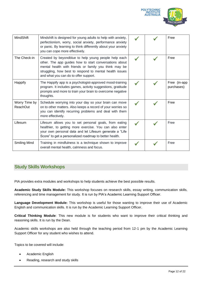

| MindShift                        | Mindshift is designed for young adults to help with anxiety,<br>perfectionism, worry, social anxiety, performance anxiety<br>or panic. By learning to think differently about your anxiety<br>you can cope more effectively.                                                |  | Free                       |
|----------------------------------|-----------------------------------------------------------------------------------------------------------------------------------------------------------------------------------------------------------------------------------------------------------------------------|--|----------------------------|
| The Check-in                     | Created by beyondblue to help young people help each<br>other. The app guides how to start conversations about<br>mental health with friends or family you think may be<br>struggling, how best to respond to mental health issues<br>and what you can do to offer support. |  | Free                       |
| <b>Happify</b>                   | The Happify app is a psychologist-approved mood-training<br>program. It includes games, activity suggestions, gratitude<br>prompts and more to train your brain to overcome negative<br>thoughts.                                                                           |  | Free (in-app<br>purchases) |
| Worry Time by<br><b>ReachOut</b> | Schedule worrying into your day so your brain can move<br>on to other matters. Also keeps a record of your worries so<br>you can identify recurring problems and deal with them<br>more effectively.                                                                        |  | Free                       |
| Lifesum                          | Lifesum allows you to set personal goals, from eating<br>healthier, to getting more exercise. You can also enter<br>your own personal data and let Lifesum generate a "Life"<br>Score" to get a personalized roadmap to better health.                                      |  | Free                       |
| Smiling Mind                     | Training in mindfulness is a technique shown to improve<br>overall mental health, calmness and focus.                                                                                                                                                                       |  | Free                       |

## <span id="page-11-0"></span>**Study Skills Workshops**

PIA provides extra modules and workshops to help students achieve the best possible results.

**Academic Study Skills Module:** This workshop focuses on research skills, essay writing, communication skills, referencing and time management for study. It is run by PIA's Academic Learning Support Officer.

**Language Development Module:** This workshop is useful for those wanting to improve their use of Academic English and communication skills. It is run by the Academic Learning Support Officer.

**Critical Thinking Module**: This new module is for students who want to improve their critical thinking and reasoning skills. It is run by the Dean.

Academic skills workshops are also held through the teaching period from 12-1 pm by the Academic Learning Support Officer for any student who wishes to attend.

Topics to be covered will include:

- Academic English
- Reading, research and study skills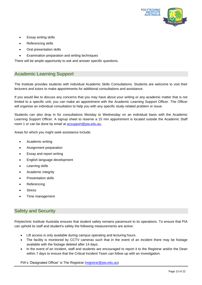

- Essay writing skills
- Referencing skills
- Oral presentation skills
- Examination preparation and writing techniques

There will be ample opportunity to ask and answer specific questions.

## <span id="page-12-0"></span>**Academic Learning Support**

The Institute provides students with individual Academic Skills Consultations. Students are welcome to visit their lecturers and tutors to make appointments for additional consultations and assistance.

If you would like to discuss any concerns that you may have about your writing or any academic matter that is not limited to a specific unit, you can make an appointment with the Academic Learning Support Officer. The Officer will organise an individual consultation to help you with any specific study-related problem or issue.

Students can also drop in for consultations Monday to Wednesday on an individual basis with the Academic Learning Support Officer. A signup sheet to reserve a 15 min appointment is located outside the Academic Staff room 1 or can be done by email at **acsupport@pia.edu.au**.

Areas for which you might seek assistance include:

- Academic writing
- Assignment preparation
- Essay and report writing
- English language development
- Learning skills
- Academic integrity
- Presentation skills
- Referencing
- **Stress**
- Time management

## <span id="page-12-1"></span>**Safety and Security**

Polytechnic Institute Australia ensures that student safety remains paramount to its operations. To ensure that PIA can uphold its staff and student's safety the following measurements are active:

- Lift access is only available during campus operating and lecturing hours.
- The facility is monitored by CCTV cameras such that in the event of an incident there may be footage available with the footage deleted after 14 days.
- In the event of an incident, staff and students are encouraged to report it to the Registrar and/or the Dean within 7 days to ensure that the Critical Incident Team can follow up with an investigation.

PIA's 'Designated Officer' is The Registrar [\(registrar@pia.edu.au\)](mailto:registrar@pia.edu.au)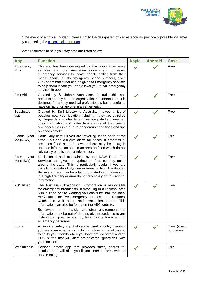

In the event of a critical incident, please notify the designated officer as soon as practically possible via email by completing the **critical incident report**.

Some resources to help you stay safe are listed below:

| App                              | <b>Function</b>                                                                                                                                                                                                                                                                                                                                                                                                                                                                                                                                            | <b>Apple</b> | <b>Android</b> | <b>Cost</b>                |
|----------------------------------|------------------------------------------------------------------------------------------------------------------------------------------------------------------------------------------------------------------------------------------------------------------------------------------------------------------------------------------------------------------------------------------------------------------------------------------------------------------------------------------------------------------------------------------------------------|--------------|----------------|----------------------------|
| Emergency<br>Plus                | This app has been developed by Australian Emergency<br>services and the Australian government to assist<br>emergency services to locate people calling from their<br>mobile phone. It lists emergency phone numbers, gives<br>GPS coordinates that can be given to Emergency services<br>to help them locate you and allows you to call emergency<br>services in-app.                                                                                                                                                                                      |              |                | Free                       |
| <b>First Aid</b>                 | Created by St John's Ambulance Australia this app<br>presents step by step emergency first aid information. It is<br>designed for use by medical professionals but is useful to<br>have on hand for anyone in an emergency.                                                                                                                                                                                                                                                                                                                                |              |                | Free                       |
| Beachsafe<br>app                 | Created by Surf Lifesaving Australia it gives a list of<br>beaches near your location including if they are patrolled<br>by lifeguards and what times they are patrolled, weather,<br>tides information and water temperature at that beach,<br>any beach closures due to dangerous conditions and tips<br>on beach safety.                                                                                                                                                                                                                                |              |                | Free                       |
| Floods Near<br>Me (NSW)          | Particularly useful if you are travelling in the north of the<br>state. This app will give alerts for floods in progress or<br>areas on flood alert. Be aware there may be a lag in<br>updated information so if in an area on flood watch do not<br>rely solely on this app for information.                                                                                                                                                                                                                                                              |              |                | Free                       |
| <b>Fires</b><br>Near<br>Me (NSW) | Is designed and maintained by the NSW Rural Fire<br>Services and gives an update on fires as they occur<br>around the state. This is particularly useful if you are<br>travelling outside of Sydney in times of high fire danger.<br>Be aware there may be a lag in updated information so if<br>in a high fire danger area do not rely solely on this app for<br>information.                                                                                                                                                                             |              |                | Free                       |
| <b>ABC</b> listen                | The Australian Broadcasting Corporation is responsible<br>for emergency broadcasts. If travelling in a regional area<br>with a flood or fire warning you can tune into the <b>local</b><br>ABC station for live emergency updates, road closures,<br>watch and wait alerts and evacuation orders. This<br>information can also be found on the ABC website.<br>Be aware in a rapidly changing environment the<br>information may be out of date so give precedence to any<br>instructions given to you by local law enforcement or<br>emergency personnel. |              |                | Free                       |
| bSafe                            | A personal safety app that can be used to notify friends if<br>you are in an emergency including a function to allow you<br>to notify your friends when you have arrived safely and an<br>SOS button that will alert pre-selected 'guardians' with<br>your location.                                                                                                                                                                                                                                                                                       |              |                | Free (in-app<br>purchases) |
| My Safetipin                     | Personal safety app that provides safety scores for<br>locations and will alert you if you enter an area with an<br>unsafe rating.                                                                                                                                                                                                                                                                                                                                                                                                                         |              |                | Free                       |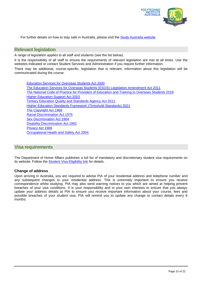

For further details on how to stay safe in Australia, please visit the Study [Australia website](https://www.studyinaustralia.gov.au/english/live-in-australia/health-and-safety/personal)

## <span id="page-14-0"></span>**Relevant legislation**

A range of legislation applies to all staff and students (see the list below).

It is the responsibility of all staff to ensure the requirements of relevant legislation are met at all times. Use the websites indicated or contact Student Services and Administration if you require further information.

There may be additional, course-specific, legislation that is relevant. Information about this legislation will be communicated during the course.

Education Services for [Overseas Students Act 2000](https://www.legislation.gov.au/Details/C2022C00066) [The Education Services for Overseas Students \(ESOS\) Legislation Amendment](https://www.legislation.gov.au/Details/C2011A00011) Act 2011 The National Code of Practice for [Providers of Education and Training to Overseas Students 2018](https://www.legislation.gov.au/Details/F2017L01182) Higher [Education Support Act 2003](https://www.legislation.gov.au/Series/C2004A01234) [Tertiary Education Quality and Standards Agency Act 2011](https://www.legislation.gov.au/Details/C2022C00004) [Higher Education Standards Framework \(Threshold Standards\) 2021](https://www.legislation.gov.au/Details/F2022C00105) [The Copyright Act 1968](https://www.legislation.gov.au/Series/C1968A00063) [Racial Discrimination Act 1975](https://www.legislation.gov.au/Details/C2016C00089) [Sex Discrimination Act 1984](https://www.legislation.gov.au/Details/C2021C00420) [Disability Discrimination Act 1992](https://www.legislation.gov.au/Series/C2004A04426) [Privacy Act 1988](https://www.legislation.gov.au/Details/C2021C00452) [Occupational Health and Safety Act 2004](https://www.legislation.gov.au/Details/C2004A01357)

## <span id="page-14-1"></span>**Visa requirements**

The Department of Home Affairs publishes a full list of mandatory and discretionary student visa requirements on its website. Follow the [Student Visa Eligibility](https://immi.homeaffairs.gov.au/visas/getting-a-visa/visa-listing/student-500#Eligibility) link for details.

## **Change of address**

Upon arriving in Australia, you are required to advise PIA of your residential address and telephone number and any subsequent changes to your residential address. This is extremely important to ensure you receive correspondence whilst studying. PIA may also send warning notices to you which are aimed at helping prevent breaches of your visa conditions. It is your responsibility and in your own interests to ensure that you always update your address details at PIA to ensure you receive important information about your course, fees and possible breaches of your student visa. PIA will remind you to update any change to contact details every 6 months.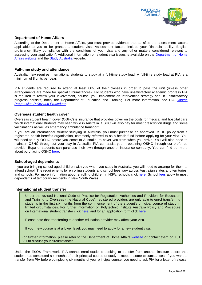

## **Department of Home Affairs**

According to the Department of Home Affairs, you must provide evidence that satisfies the assessment factors applicable to you to be granted a student visa. Assessment factors include your "financial ability, English proficiency, likely compliance with the conditions of your visa and any other matters considered relevant to assessing your application". Additional information on student visa issues is available on the [Department of Home](https://immi.homeaffairs.gov.au/visas/getting-a-visa/visa-finder/study)  Affairs [website](https://immi.homeaffairs.gov.au/visas/getting-a-visa/visa-finder/study) and the [Study Australia](https://www.studyaustralia.gov.au/) website.

## **Full-time study and attendance**

Australian law requires international students to study at a full-time study load. A full-time study load at PIA is a minimum of 8 units per year.

PIA students are required to attend at least 80% of their classes in order to pass the unit (unless other arrangements are made for special circumstances). For students who have unsatisfactory academic progress PIA is required to review your involvement, counsel you, implement an intervention strategy and, if unsatisfactory progress persists, notify the Department of Education and Training. For more information, see PIA *[Course](https://docs.pia.edu.au/Documents/Policies%20and%20Procedures/Course%20Progression%20Policy%20and%20Procedure%20v1.3.pdf)  [Progression Policy and Procedure](https://docs.pia.edu.au/Documents/Policies%20and%20Procedures/Course%20Progression%20Policy%20and%20Procedure%20v1.3.pdf)*.

#### **Overseas student health cover**

Overseas student health cover (OSHC) is insurance that provides cover on the costs for medical and hospital care which international students may need while in Australia. OSHC will also pay for most prescription drugs and some vaccinations as well as emergency ambulance transport.

If you are an international student studying in Australia, you must purchase an approved OSHC policy from a registered health benefits organisation, commonly referred to as a health fund before applying for your visa. You will need to buy OSHC before you come to Australia, to cover you from when you arrive. You will also need to maintain OSHC throughout your stay in Australia. PIA can assist you in obtaining OSHC through our preferred provider Bupa or students can purchase their own through another insurance company. You can find out more about purchasing OSHC [here.](https://privatehealth.gov.au/health_insurance/overseas/overseas_student_health_cover.htm)

## **School-aged dependents**

If you are bringing school-aged children with you when you study in Australia, you will need to arrange for them to attend school. The requirements for enrolling students and school fees vary across Australian states and territories, and schools. For more information about enrolling children in NSW, schools click [here.](https://www.deinternational.nsw.edu.au/study-options/study-programs/temporary-residents) School [fees](https://www.deinternational.nsw.edu.au/__data/assets/pdf_file/0013/16402/20190301-Education-fees.pdf) apply to most dependents of temporary residents in New South Wales.

#### **International student transfer**

Under the revised National Code of Practice for Registration Authorities and Providers for Education and Training to Overseas (the National Code), registered providers are only able to enrol transferring students in the first six months from the commencement of the student's principal course of study in limited circumstances. For further information on Polytechnic Institute Australia Policy and Procedure on International student transfer click [here,](https://docs.pia.edu.au/Documents/Policies%20and%20Procedures/Student%20Transfer%20Policy%20and%20Procedure%20v1.2.pdf) and for an application form click [here.](https://docs.pia.edu.au/download-forms.html)

Please note that transferring to another education provider may affect your visa.

If your new course is at a lower level, you may need to apply for a new student visa.

For further information, please refer to the Department of Home Affairs [website](https://www.homeaffairs.gov.au/) or contact them on 131 881 to discuss your circumstances.

Under the ESOS Framework, PIA cannot enrol students seeking to transfer from another institute before that student has completed six months of their principal course of study, except in some circumstances. If you want to transfer from PIA before completing six months of your principal course, you need to ask PIA for a letter of release.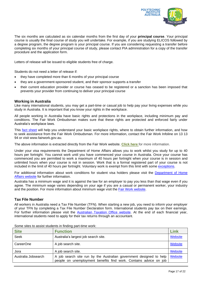

The six months are calculated as six calendar months from the first day of your **principal course**. Your principal course is usually the final course of study you will undertake. For example, if you are studying ELICOS followed by a degree program, the degree program is your principal course. If you are considering requesting a transfer before completing six months of your principal course of study, please contact PIA administration for a copy of the transfer procedure and the application form.

Letters of release will be issued to eligible students free of charge.

Students do not need a letter of release if:

- they have completed more than 6 months of your principal course
- they are a government-sponsored student, and their sponsor supports a transfer
- their current education provider or course has ceased to be registered or a sanction has been imposed that prevents your provider from continuing to deliver your principal course

#### **Working in Australia**

Like many international students, you may get a part-time or casual job to help pay your living expenses while you study in Australia. It is important that you know your rights in the workplace.

All people working in Australia have basic rights and protections in the workplace, including minimum pay and conditions. The Fair Work Ombudsman makes sure that these rights are protected and enforced fairly under Australia's workplace laws.

This [fact sheet](https://www.fairwork.gov.au/ArticleDocuments/723/international-students.pdf.aspx) will help you understand your basic workplace rights, where to obtain further information, and how to seek assistance from the Fair Work Ombudsman. For more information, contact the Fair Work Infoline on 13 13 94 or visit www.fairwork.gov.au.

The above information is extracted directly from the Fair Work website. **[Click here](https://www.fairwork.gov.au/how-we-will-help/templates-and-guides/fact-sheets/rights-and-obligations/international-students)** for more information.

Under your visa requirements the Department of Home Affairs allows you to work whilst you study for up to 40 hours per fortnight. You cannot work until you have commenced your course in Australia. Once your course has commenced you are permitted to work a maximum of 40 hours per fortnight when your course is in session and unlimited hours when your course is not in session. Work that is a formal registered part of your course is not included in the limit of 40 hours per fortnight. Voluntary work is exempt from this limit with some [exceptions.](https://immi.homeaffairs.gov.au/help-support/glossary#volunteer-work)

For additional information about work conditions for student visa holders please visit the [Department of Home](https://immi.homeaffairs.gov.au/visas/getting-a-visa/visa-listing/student-500)  [Affairs website](https://immi.homeaffairs.gov.au/visas/getting-a-visa/visa-listing/student-500) for further information.

Australia has a minimum wage and it is against the law for an employer to pay you less than that wage even if you agree. The minimum wage varies depending on your age if you are a casual or permanent worker, your industry and the position. For more information about minimum wage visit the [Fair Work website.](https://www.fairwork.gov.au/pay/minimum-wages)

## **Tax File Number**

All workers in Australia need a Tax File Number (TFN). When starting a new job, you need to inform your employer of your TFN by completing a Tax File Number Declaration form. International students pay tax on their earnings. For further information please visit the [Australian Taxation](http://www.ato.gov.au/) Office website. At the end of each financial year, international students need to apply for their tax returns through an accountant.

| <b>Site</b>         | <b>Function</b>                                                                                                                          | Link    |
|---------------------|------------------------------------------------------------------------------------------------------------------------------------------|---------|
| <b>Seek</b>         | Australia's largest job search site.                                                                                                     | Website |
| CareerOne           | A job search site.                                                                                                                       | Website |
| Jora                | A job search site.                                                                                                                       | Website |
| Australia Jobsearch | A job search site run by the Australian government designed to help<br>people on unemployment benefits find work. Contains advice on job | Website |

Some sites to assist students in finding part-time work: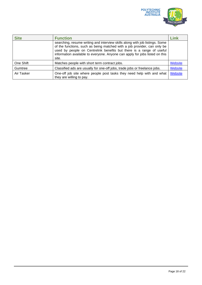

| <b>Site</b> | <b>Function</b>                                                                                                                                                                                                                                                                                                          | Link    |
|-------------|--------------------------------------------------------------------------------------------------------------------------------------------------------------------------------------------------------------------------------------------------------------------------------------------------------------------------|---------|
|             | searching, resume writing and interview skills along with job listings. Some<br>of the functions, such as being matched with a job provider, can only be<br>used by people on Centrelink benefits but there is a range of useful<br>information available to everyone. Anyone can apply for jobs listed on this<br>site. |         |
| One Shift   | Matches people with short term contract jobs.                                                                                                                                                                                                                                                                            | Website |
| Gumtree     | Classified ads are usually for one-off jobs, trade jobs or freelance jobs.                                                                                                                                                                                                                                               | Website |
| Air Tasker  | One-off job site where people post tasks they need help with and what<br>they are willing to pay.                                                                                                                                                                                                                        | Website |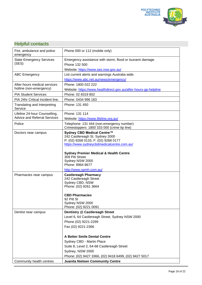

<span id="page-18-0"></span>

| <b>Helpful contacts</b>                                              |                                                                                                                                                                                                                                                                                                                                |
|----------------------------------------------------------------------|--------------------------------------------------------------------------------------------------------------------------------------------------------------------------------------------------------------------------------------------------------------------------------------------------------------------------------|
| Fire, ambulance and police<br>emergency                              | Phone 000 or 112 (mobile only)                                                                                                                                                                                                                                                                                                 |
| <b>State Emergency Services</b><br>(SES)                             | Emergency assistance with storm, flood or tsunami damage.<br>Phone 132 500<br>Website: https://www.ses.nsw.gov.au/                                                                                                                                                                                                             |
| <b>ABC Emergency</b>                                                 | List current alerts and warnings Australia wide.<br>https://www.abc.net.au/news/emergency/                                                                                                                                                                                                                                     |
| After-hours medical services<br>hotline (non-emergency)              | Phone: 1800 022 222<br>Website: https://www.healthdirect.gov.au/after-hours-gp-helpline                                                                                                                                                                                                                                        |
| <b>PIA Student Services</b>                                          | Phone: 02 8319 802                                                                                                                                                                                                                                                                                                             |
| PIA 24hr Critical Incident line.                                     | Phone: 0434 996 183                                                                                                                                                                                                                                                                                                            |
| Translating and Interpreting<br>Service                              | Phone: 131 450                                                                                                                                                                                                                                                                                                                 |
| Lifeline 24-hour Counselling,<br><b>Advice and Referral Services</b> | Phone: 131 114<br>Website: https://www.lifeline.org.au/                                                                                                                                                                                                                                                                        |
| Police                                                               | Telephone: 131 444 (non-emergency number)<br>Crimestoppers: 1800 333 000 (crime tip line)                                                                                                                                                                                                                                      |
| Doctors near campus                                                  | Sydney CBD Medical Centre™<br>242 Castlereagh St. Sydney 2000<br>P: (02) 9268 0133, F: (02) 9268 0177<br>https://www.sydneycbdmedicalcentre.com.au/<br><b>Sydney Premier Medical &amp; Health Centre</b><br>309 Pitt Street<br>Sydney NSW 2000<br>Phone: 8964 8677<br>http://www.spmh.com.au/                                  |
| Pharmacies near campus                                               | <b>Castlereagh Pharmacy</b><br>242 Castlereagh Street<br>Sydney CBD, NSW<br>Phone: (02) 9261 3664<br><b>CBD Pharmacies</b><br>92 Pitt St<br>Sydney NSW 2000<br>Phone: (02) 9221 0091                                                                                                                                           |
| Dentist near campus                                                  | Dentistry @ Castlereagh Street<br>Level 6, 64 Castlereagh Street, Sydney NSW 2000<br>Phone (02) 9221-2299<br>Fax (02) 9221-2366<br><b>A Better Smile Dental Centre</b><br>Sydney CBD - Martin Place<br>Suite 8, Level 2, 64-68 Castlereagh Street<br>Sydney, NSW 2000<br>Phone: (02) 9427 3366, (02) 9418 6499, (02) 9427 5017 |
| Community health centres                                             | <b>Juanita Nielsen Community Centre</b>                                                                                                                                                                                                                                                                                        |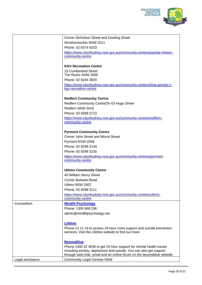

|                  | <b>Corner Nicholson Street and Dowling Street</b>                      |
|------------------|------------------------------------------------------------------------|
|                  | Woolloomooloo NSW 2011                                                 |
|                  | Phone: 02 8374 6323                                                    |
|                  | https://www.cityofsydney.nsw.gov.au/community-centres/juanita-nielsen- |
|                  | community-centre                                                       |
|                  |                                                                        |
|                  | <b>KGV Recreation Centre</b>                                           |
|                  | 15 Cumberland Street                                                   |
|                  | The Rocks NSW 2000                                                     |
|                  | Phone: 02 9244 3600                                                    |
|                  | https://www.cityofsydney.nsw.gov.au/community-centres/king-george-v-   |
|                  | kgv-recreation-centre                                                  |
|                  | <b>Redfern Community Centre</b>                                        |
|                  | Redfern Community Centre29-53 Hugo Street                              |
|                  | Redfern NSW 2016                                                       |
|                  | Phone: 02 9288 5713                                                    |
|                  | https://www.cityofsydney.nsw.gov.au/community-centres/redfern-         |
|                  | community-centre                                                       |
|                  |                                                                        |
|                  | <b>Pyrmont Community Centre</b>                                        |
|                  | Corner John Street and Mount Street                                    |
|                  | Pyrmont NSW 2009                                                       |
|                  | Phone: 02 9298 3134                                                    |
|                  | Phone: 02 9298 3130                                                    |
|                  | https://www.cityofsydney.nsw.gov.au/community-centres/pyrmont-         |
|                  | community-centre                                                       |
|                  | <b>Ultimo Community Centre</b>                                         |
|                  | 40 William Henry Street                                                |
|                  | <b>Corner Bulwara Road</b>                                             |
|                  | Ultimo NSW 2007                                                        |
|                  | Phone: 02 9298 3111                                                    |
|                  | https://www.cityofsydney.nsw.gov.au/community-centres/ultimo-          |
|                  | community-centre                                                       |
| Counsellors      | <b>Mindfit Psychology</b>                                              |
|                  | Phone: 1300 668 256                                                    |
|                  | admin@mindfitpsychology.net                                            |
|                  |                                                                        |
|                  | <b>Lifeline</b>                                                        |
|                  | Phone 13 11 14 to access 24-hour crisis support and suicide prevention |
|                  | services. Visit the Lifeline website to find out more.                 |
|                  |                                                                        |
|                  | <b>Beyondblue</b>                                                      |
|                  | Phone 1300 22 4636 to get 24-hour support for mental health issues     |
|                  | including anxiety, depression and suicide. You can also get support    |
|                  | through web chat, email and an online forum on the beyondblue website. |
| Legal assistance | <b>Community Legal Centres NSW</b>                                     |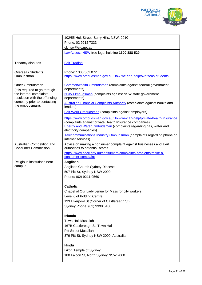

|                                                                                                                                                                | 102/55 Holt Street, Surry Hills, NSW, 2010                                                                                                                                                                                    |
|----------------------------------------------------------------------------------------------------------------------------------------------------------------|-------------------------------------------------------------------------------------------------------------------------------------------------------------------------------------------------------------------------------|
|                                                                                                                                                                | Phone: 02 9212 7333                                                                                                                                                                                                           |
|                                                                                                                                                                | clcnsw@clc.net.au                                                                                                                                                                                                             |
|                                                                                                                                                                | LawAccess NSW free legal helpline 1300 888 529                                                                                                                                                                                |
| Tenancy disputes                                                                                                                                               | <b>Fair Trading</b>                                                                                                                                                                                                           |
| <b>Overseas Students</b><br>Ombudsman                                                                                                                          | Phone: 1300 362 072<br>https://www.ombudsman.gov.au/How-we-can-help/overseas-students                                                                                                                                         |
| Other Ombudsmen<br>(It is required to go through<br>the internal complaints<br>resolution with the offending<br>company prior to contacting<br>the ombudsman). | Commonwealth Ombudsman (complaints against federal government<br>departments)                                                                                                                                                 |
|                                                                                                                                                                | NSW Ombudsman (complaints against NSW state government<br>departments)                                                                                                                                                        |
|                                                                                                                                                                | <b>Australian Financial Complaints Authority (complaints against banks and</b><br>lenders)                                                                                                                                    |
|                                                                                                                                                                | <b>Fair Work Ombudsman (complaints against employers)</b>                                                                                                                                                                     |
|                                                                                                                                                                | https://www.ombudsman.gov.au/How-we-can-help/private-health-insurance<br>(complaints against private Health Insurance companies)<br>Energy and Water Ombudsman (complaints regarding gas, water and<br>electricity companies) |
|                                                                                                                                                                | Telecommunications Industry Ombudsman (complaints regarding phone or<br>internet services)                                                                                                                                    |
| Australian Competition and<br><b>Consumer Commission</b>                                                                                                       | Advise on making a consumer complaint against businesses and alert<br>authorities to potential scams.                                                                                                                         |
|                                                                                                                                                                | https://www.accc.gov.au/consumers/complaints-problems/make-a-<br>consumer-complaint                                                                                                                                           |
| Religious institutions near<br>campus                                                                                                                          | Anglican<br>Anglican Church Sydney Diocese<br>507 Pitt St, Sydney NSW 2000<br>Phone: (02) 9211 0560                                                                                                                           |
|                                                                                                                                                                | <b>Catholic</b>                                                                                                                                                                                                               |
|                                                                                                                                                                | Chapel of Our Lady venue for Mass for city workers<br>Level 6 of Polding Centre,                                                                                                                                              |
|                                                                                                                                                                | 133 Liverpool St (Corner of Castlereagh St)<br>Sydney Phone: (02) 9390 5100                                                                                                                                                   |
|                                                                                                                                                                | <b>Islamic</b><br><b>Town Hall Musallah</b><br>167B Castlereagh St, Town Hall<br><b>Pitt Street Musallah</b><br>379 Pitt St, Sydney NSW 2000, Australia                                                                       |
|                                                                                                                                                                | <b>Hindu</b><br>Iskon Temple of Sydney<br>180 Falcon St, North Sydney NSW 2060                                                                                                                                                |